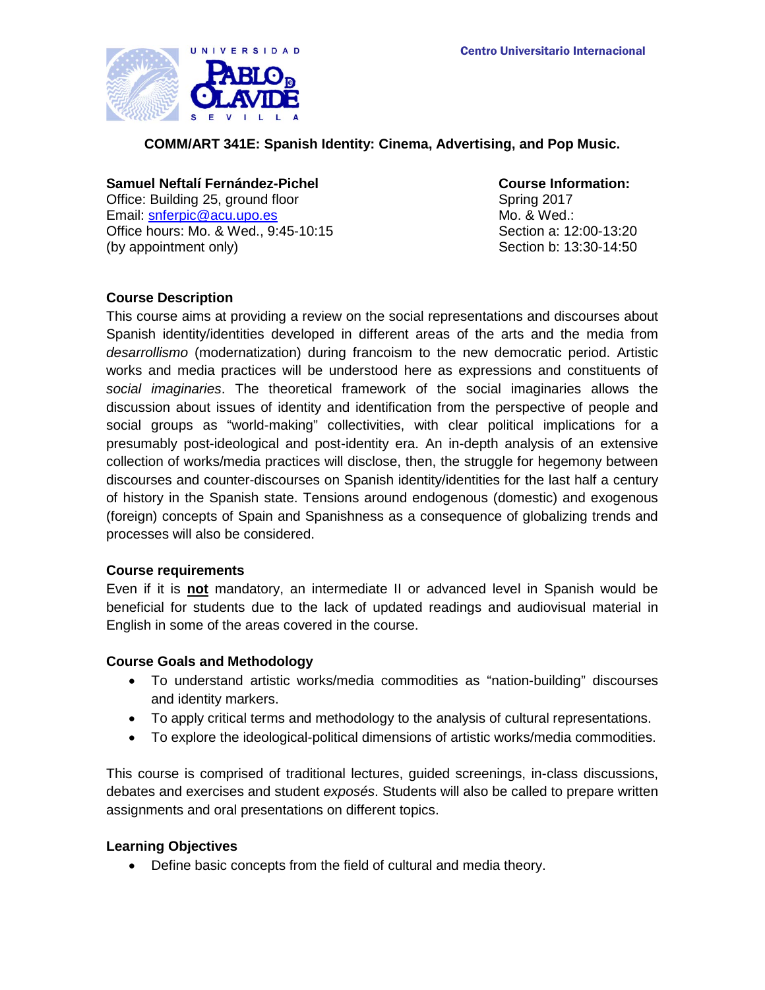

**COMM/ART 341E: Spanish Identity: Cinema, Advertising, and Pop Music.**

## **Samuel Neftalí Fernández-Pichel Course Information:**

Office: Building 25, ground floor Spring 2017 Email: [snferpic@acu.upo.es](mailto:snferpic@acu.upo.es) Office hours: Mo. & Wed., 9:45-10:15 (by appointment only)

Mo. & Wed.: Section a: 12:00-13:20 Section b: 13:30-14:50

## **Course Description**

This course aims at providing a review on the social representations and discourses about Spanish identity/identities developed in different areas of the arts and the media from *desarrollismo* (modernatization) during francoism to the new democratic period. Artistic works and media practices will be understood here as expressions and constituents of *social imaginaries*. The theoretical framework of the social imaginaries allows the discussion about issues of identity and identification from the perspective of people and social groups as "world-making" collectivities, with clear political implications for a presumably post-ideological and post-identity era. An in-depth analysis of an extensive collection of works/media practices will disclose, then, the struggle for hegemony between discourses and counter-discourses on Spanish identity/identities for the last half a century of history in the Spanish state. Tensions around endogenous (domestic) and exogenous (foreign) concepts of Spain and Spanishness as a consequence of globalizing trends and processes will also be considered.

## **Course requirements**

Even if it is **not** mandatory, an intermediate II or advanced level in Spanish would be beneficial for students due to the lack of updated readings and audiovisual material in English in some of the areas covered in the course.

## **Course Goals and Methodology**

- To understand artistic works/media commodities as "nation-building" discourses and identity markers.
- To apply critical terms and methodology to the analysis of cultural representations.
- To explore the ideological-political dimensions of artistic works/media commodities.

This course is comprised of traditional lectures, guided screenings, in-class discussions, debates and exercises and student *exposés*. Students will also be called to prepare written assignments and oral presentations on different topics.

## **Learning Objectives**

• Define basic concepts from the field of cultural and media theory.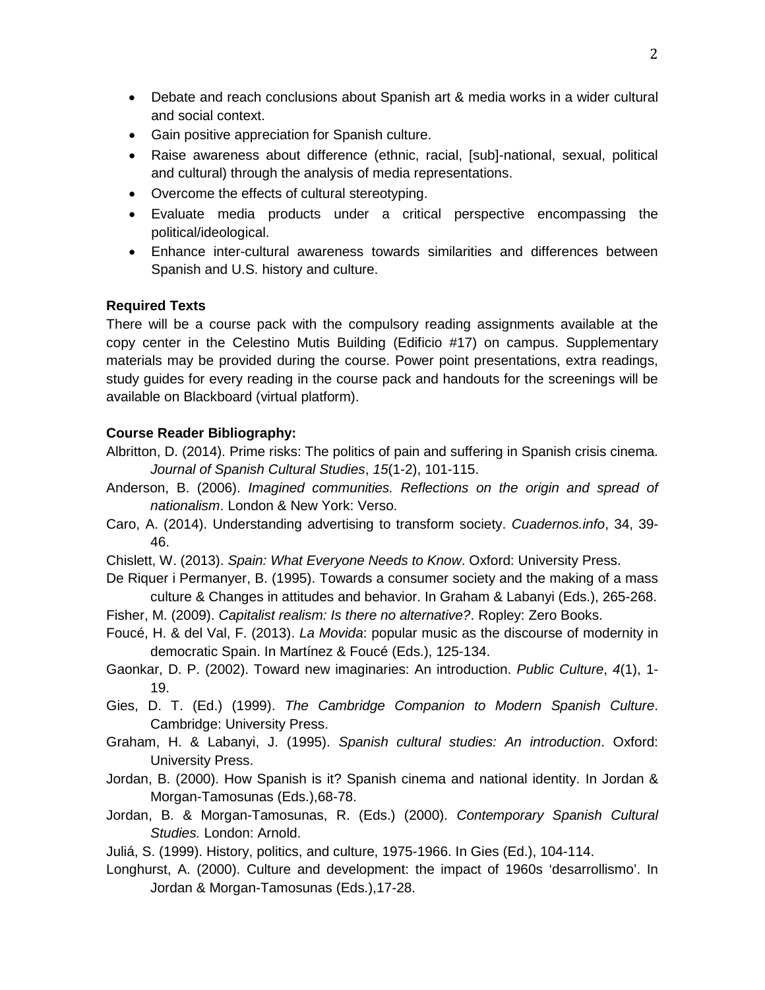- Debate and reach conclusions about Spanish art & media works in a wider cultural and social context.
- Gain positive appreciation for Spanish culture.
- Raise awareness about difference (ethnic, racial, [sub]-national, sexual, political and cultural) through the analysis of media representations.
- Overcome the effects of cultural stereotyping.
- Evaluate media products under a critical perspective encompassing the political/ideological.
- Enhance inter-cultural awareness towards similarities and differences between Spanish and U.S. history and culture.

# **Required Texts**

There will be a course pack with the compulsory reading assignments available at the copy center in the Celestino Mutis Building (Edificio #17) on campus. Supplementary materials may be provided during the course. Power point presentations, extra readings, study guides for every reading in the course pack and handouts for the screenings will be available on Blackboard (virtual platform).

# **Course Reader Bibliography:**

- Albritton, D. (2014). Prime risks: The politics of pain and suffering in Spanish crisis cinema. *Journal of Spanish Cultural Studies*, *15*(1-2), 101-115.
- Anderson, B. (2006). *Imagined communities. Reflections on the origin and spread of nationalism*. London & New York: Verso.
- Caro, A. (2014). Understanding advertising to transform society. *Cuadernos.info*, 34, 39- 46.
- Chislett, W. (2013). *Spain: What Everyone Needs to Know*. Oxford: University Press.
- De Riquer i Permanyer, B. (1995). Towards a consumer society and the making of a mass culture & Changes in attitudes and behavior. In Graham & Labanyi (Eds.), 265-268.
- Fisher, M. (2009). *Capitalist realism: Is there no alternative?*. Ropley: Zero Books.
- Foucé, H. & del Val, F. (2013). *La Movida*: popular music as the discourse of modernity in democratic Spain. In Martínez & Foucé (Eds.), 125-134.
- Gaonkar, D. P. (2002). Toward new imaginaries: An introduction. *Public Culture*, *4*(1), 1- 19.
- Gies, D. T. (Ed.) (1999). *The Cambridge Companion to Modern Spanish Culture*. Cambridge: University Press.
- Graham, H. & Labanyi, J. (1995). *Spanish cultural studies: An introduction*. Oxford: University Press.
- Jordan, B. (2000). How Spanish is it? Spanish cinema and national identity. In Jordan & Morgan-Tamosunas (Eds.),68-78.
- Jordan, B. & Morgan-Tamosunas, R. (Eds.) (2000). *Contemporary Spanish Cultural Studies.* London: Arnold.
- Juliá, S. (1999). History, politics, and culture, 1975-1966. In Gies (Ed.), 104-114.
- Longhurst, A. (2000). Culture and development: the impact of 1960s 'desarrollismo'. In Jordan & Morgan-Tamosunas (Eds.),17-28.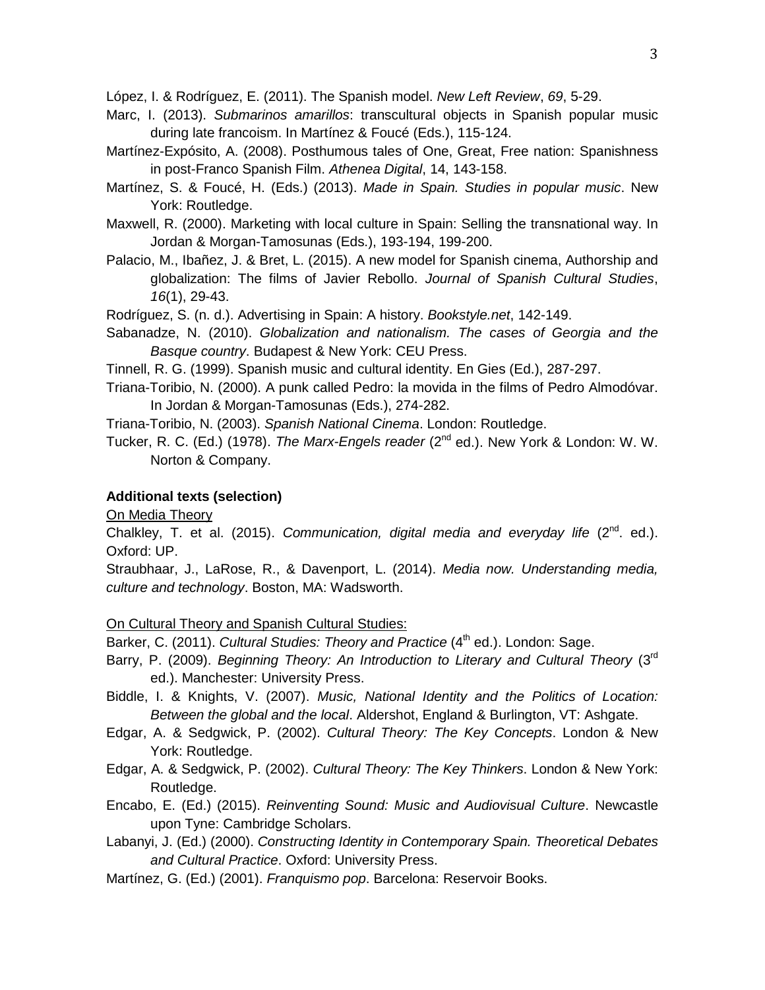López, I. & Rodríguez, E. (2011). The Spanish model. *New Left Review*, *69*, 5-29.

- Marc, I. (2013). *Submarinos amarillos*: transcultural objects in Spanish popular music during late francoism. In Martínez & Foucé (Eds.), 115-124.
- Martínez-Expósito, A. (2008). Posthumous tales of One, Great, Free nation: Spanishness in post-Franco Spanish Film. *Athenea Digital*, 14, 143-158.
- Martínez, S. & Foucé, H. (Eds.) (2013). *Made in Spain. Studies in popular music*. New York: Routledge.
- Maxwell, R. (2000). Marketing with local culture in Spain: Selling the transnational way. In Jordan & Morgan-Tamosunas (Eds.), 193-194, 199-200.
- Palacio, M., Ibañez, J. & Bret, L. (2015). A new model for Spanish cinema, Authorship and globalization: The films of Javier Rebollo. *Journal of Spanish Cultural Studies*, *16*(1), 29-43.

Rodríguez, S. (n. d.). Advertising in Spain: A history. *Bookstyle.net*, 142-149.

- Sabanadze, N. (2010). *Globalization and nationalism. The cases of Georgia and the Basque country*. Budapest & New York: CEU Press.
- Tinnell, R. G. (1999). Spanish music and cultural identity. En Gies (Ed.), 287-297.
- Triana-Toribio, N. (2000). A punk called Pedro: la movida in the films of Pedro Almodóvar. In Jordan & Morgan-Tamosunas (Eds.), 274-282.

Triana-Toribio, N. (2003). *Spanish National Cinema*. London: Routledge.

Tucker, R. C. (Ed.) (1978). *The Marx-Engels reader* (2<sup>nd</sup> ed.). New York & London: W. W. Norton & Company.

## **Additional texts (selection)**

On Media Theory

Chalkley, T. et al. (2015). *Communication, digital media and everyday life* (2<sup>nd</sup>. ed.). Oxford: UP.

Straubhaar, J., LaRose, R., & Davenport, L. (2014). *Media now. Understanding media, culture and technology*. Boston, MA: Wadsworth.

On Cultural Theory and Spanish Cultural Studies:

Barker, C. (2011). *Cultural Studies: Theory and Practice* (4<sup>th</sup> ed.). London: Sage.

- Barry, P. (2009). *Beginning Theory: An Introduction to Literary and Cultural Theory* (3rd ed.). Manchester: University Press.
- Biddle, I. & Knights, V. (2007). *Music, National Identity and the Politics of Location: Between the global and the local*. Aldershot, England & Burlington, VT: Ashgate.
- Edgar, A. & Sedgwick, P. (2002). *Cultural Theory: The Key Concepts*. London & New York: Routledge.
- Edgar, A. & Sedgwick, P. (2002). *Cultural Theory: The Key Thinkers*. London & New York: Routledge.
- Encabo, E. (Ed.) (2015). *Reinventing Sound: Music and Audiovisual Culture*. Newcastle upon Tyne: Cambridge Scholars.
- Labanyi, J. (Ed.) (2000). *Constructing Identity in Contemporary Spain. Theoretical Debates and Cultural Practice*. Oxford: University Press.
- Martínez, G. (Ed.) (2001). *Franquismo pop*. Barcelona: Reservoir Books.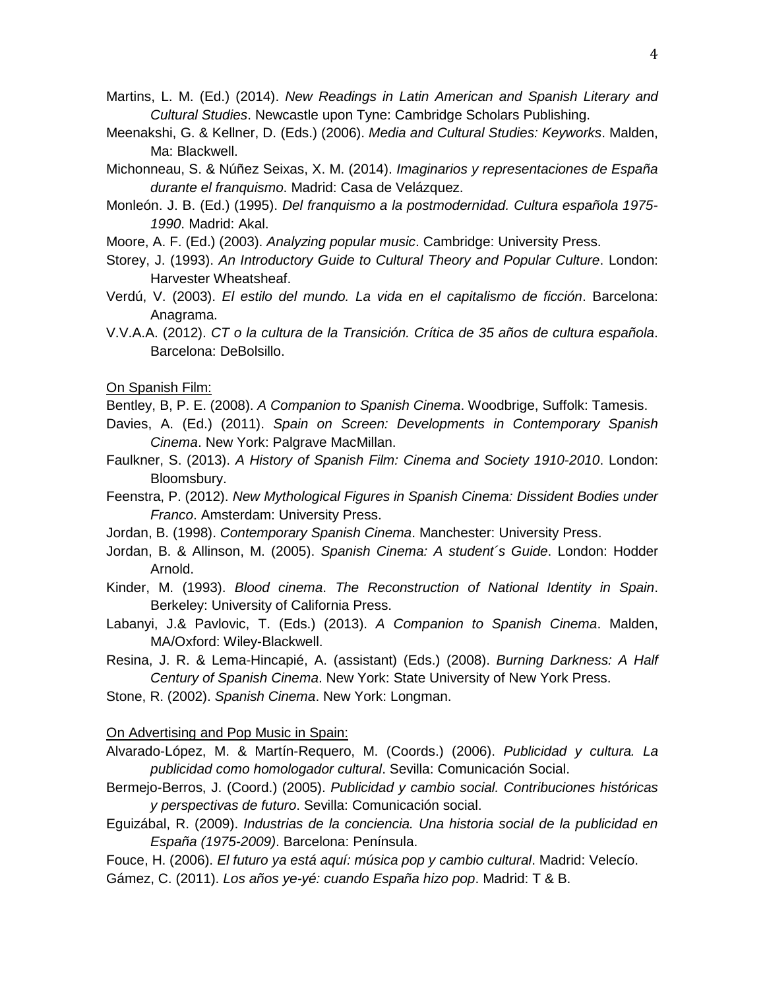- Martins, L. M. (Ed.) (2014). *New Readings in Latin American and Spanish Literary and Cultural Studies*. Newcastle upon Tyne: Cambridge Scholars Publishing.
- Meenakshi, G. & Kellner, D. (Eds.) (2006). *Media and Cultural Studies: Keyworks*. Malden, Ma: Blackwell.
- Michonneau, S. & Núñez Seixas, X. M. (2014). *Imaginarios y representaciones de España durante el franquismo*. Madrid: Casa de Velázquez.
- Monleón. J. B. (Ed.) (1995). *Del franquismo a la postmodernidad. Cultura española 1975- 1990*. Madrid: Akal.
- Moore, A. F. (Ed.) (2003). *Analyzing popular music*. Cambridge: University Press.
- Storey, J. (1993). *An Introductory Guide to Cultural Theory and Popular Culture*. London: Harvester Wheatsheaf.
- Verdú, V. (2003). *El estilo del mundo. La vida en el capitalismo de ficción*. Barcelona: Anagrama.
- V.V.A.A. (2012). *CT o la cultura de la Transición. Crítica de 35 años de cultura española*. Barcelona: DeBolsillo.

On Spanish Film:

Bentley, B, P. E. (2008). *A Companion to Spanish Cinema*. Woodbrige, Suffolk: Tamesis.

- Davies, A. (Ed.) (2011). *Spain on Screen: Developments in Contemporary Spanish Cinema*. New York: Palgrave MacMillan.
- Faulkner, S. (2013). *A History of Spanish Film: Cinema and Society 1910-2010*. London: Bloomsbury.
- Feenstra, P. (2012). *New Mythological Figures in Spanish Cinema: Dissident Bodies under Franco*. Amsterdam: University Press.
- Jordan, B. (1998). *Contemporary Spanish Cinema*. Manchester: University Press.
- Jordan, B. & Allinson, M. (2005). *Spanish Cinema: A student´s Guide*. London: Hodder Arnold.
- Kinder, M. (1993). *Blood cinema*. *The Reconstruction of National Identity in Spain*. Berkeley: University of California Press.
- Labanyi, J.& Pavlovic, T. (Eds.) (2013). *A Companion to Spanish Cinema*. Malden, MA/Oxford: Wiley-Blackwell.
- Resina, J. R. & Lema-Hincapié, A. (assistant) (Eds.) (2008). *Burning Darkness: A Half Century of Spanish Cinema*. New York: State University of New York Press.
- Stone, R. (2002). *Spanish Cinema*. New York: Longman.

#### On Advertising and Pop Music in Spain:

- Alvarado-López, M. & Martín-Requero, M. (Coords.) (2006). *Publicidad y cultura. La publicidad como homologador cultural*. Sevilla: Comunicación Social.
- Bermejo-Berros, J. (Coord.) (2005). *Publicidad y cambio social. Contribuciones históricas y perspectivas de futuro*. Sevilla: Comunicación social.
- Eguizábal, R. (2009). *Industrias de la conciencia. Una historia social de la publicidad en España (1975-2009)*. Barcelona: Península.
- Fouce, H. (2006). *El futuro ya está aquí: música pop y cambio cultural*. Madrid: Velecío.
- Gámez, C. (2011). *Los años ye-yé: cuando España hizo pop*. Madrid: T & B.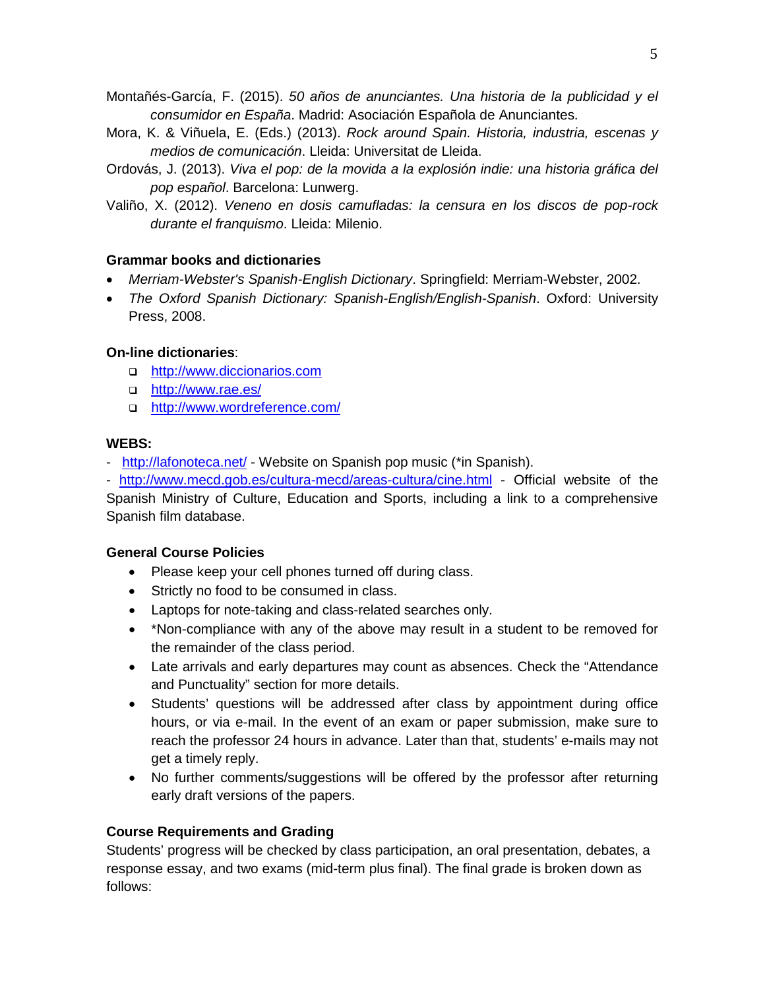Montañés-García, F. (2015). *50 años de anunciantes. Una historia de la publicidad y el consumidor en España*. Madrid: Asociación Española de Anunciantes.

- Mora, K. & Viñuela, E. (Eds.) (2013). *Rock around Spain. Historia, industria, escenas y medios de comunicación*. Lleida: Universitat de Lleida.
- Ordovás, J. (2013). *Viva el pop: de la movida a la explosión indie: una historia gráfica del pop español*. Barcelona: Lunwerg.
- Valiño, X. (2012). *Veneno en dosis camufladas: la censura en los discos de pop-rock durante el franquismo*. Lleida: Milenio.

## **Grammar books and dictionaries**

- *Merriam-Webster's Spanish-English Dictionary*. Springfield: Merriam-Webster, 2002.
- *The Oxford Spanish Dictionary: Spanish-English/English-Spanish*. Oxford: University Press, 2008.

## **On-line dictionaries**:

- □ [http://www.diccionarios.com](http://www.diccionarios.com/)
- <http://www.rae.es/>
- □ <http://www.wordreference.com/>

## **WEBS:**

- <http://lafonoteca.net/> Website on Spanish pop music (\*in Spanish).
- <http://www.mecd.gob.es/cultura-mecd/areas-cultura/cine.html> Official website of the

Spanish Ministry of Culture, Education and Sports, including a link to a comprehensive Spanish film database.

## **General Course Policies**

- Please keep your cell phones turned off during class.
- Strictly no food to be consumed in class.
- Laptops for note-taking and class-related searches only.
- \*Non-compliance with any of the above may result in a student to be removed for the remainder of the class period.
- Late arrivals and early departures may count as absences. Check the "Attendance and Punctuality" section for more details.
- Students' questions will be addressed after class by appointment during office hours, or via e-mail. In the event of an exam or paper submission, make sure to reach the professor 24 hours in advance. Later than that, students' e-mails may not get a timely reply.
- No further comments/suggestions will be offered by the professor after returning early draft versions of the papers.

## **Course Requirements and Grading**

Students' progress will be checked by class participation, an oral presentation, debates, a response essay, and two exams (mid-term plus final). The final grade is broken down as follows: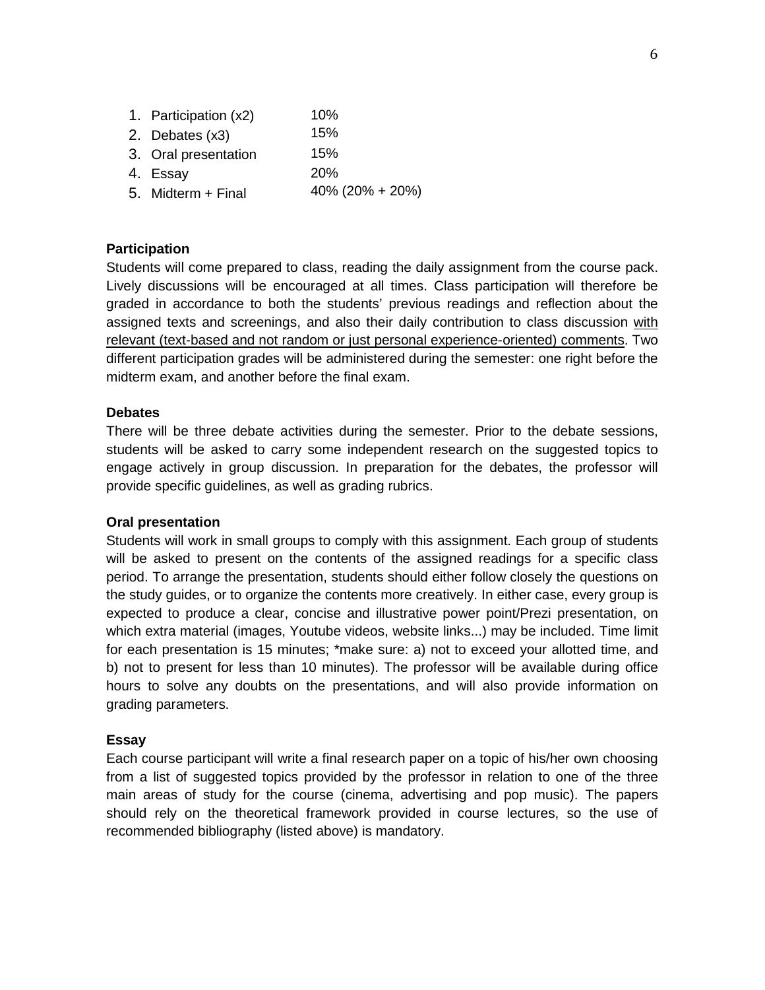| 1. Participation (x2) | 10%             |
|-----------------------|-----------------|
| 2. Debates (x3)       | 15%             |
| 3. Oral presentation  | 15%             |
| 4. Essay              | 20%             |
| 5. Midterm + Final    | 40% (20% + 20%) |

#### **Participation**

Students will come prepared to class, reading the daily assignment from the course pack. Lively discussions will be encouraged at all times. Class participation will therefore be graded in accordance to both the students' previous readings and reflection about the assigned texts and screenings, and also their daily contribution to class discussion with relevant (text-based and not random or just personal experience-oriented) comments. Two different participation grades will be administered during the semester: one right before the midterm exam, and another before the final exam.

#### **Debates**

There will be three debate activities during the semester. Prior to the debate sessions, students will be asked to carry some independent research on the suggested topics to engage actively in group discussion. In preparation for the debates, the professor will provide specific guidelines, as well as grading rubrics.

### **Oral presentation**

Students will work in small groups to comply with this assignment. Each group of students will be asked to present on the contents of the assigned readings for a specific class period. To arrange the presentation, students should either follow closely the questions on the study guides, or to organize the contents more creatively. In either case, every group is expected to produce a clear, concise and illustrative power point/Prezi presentation, on which extra material (images, Youtube videos, website links...) may be included. Time limit for each presentation is 15 minutes; \*make sure: a) not to exceed your allotted time, and b) not to present for less than 10 minutes). The professor will be available during office hours to solve any doubts on the presentations, and will also provide information on grading parameters.

#### **Essay**

Each course participant will write a final research paper on a topic of his/her own choosing from a list of suggested topics provided by the professor in relation to one of the three main areas of study for the course (cinema, advertising and pop music). The papers should rely on the theoretical framework provided in course lectures, so the use of recommended bibliography (listed above) is mandatory.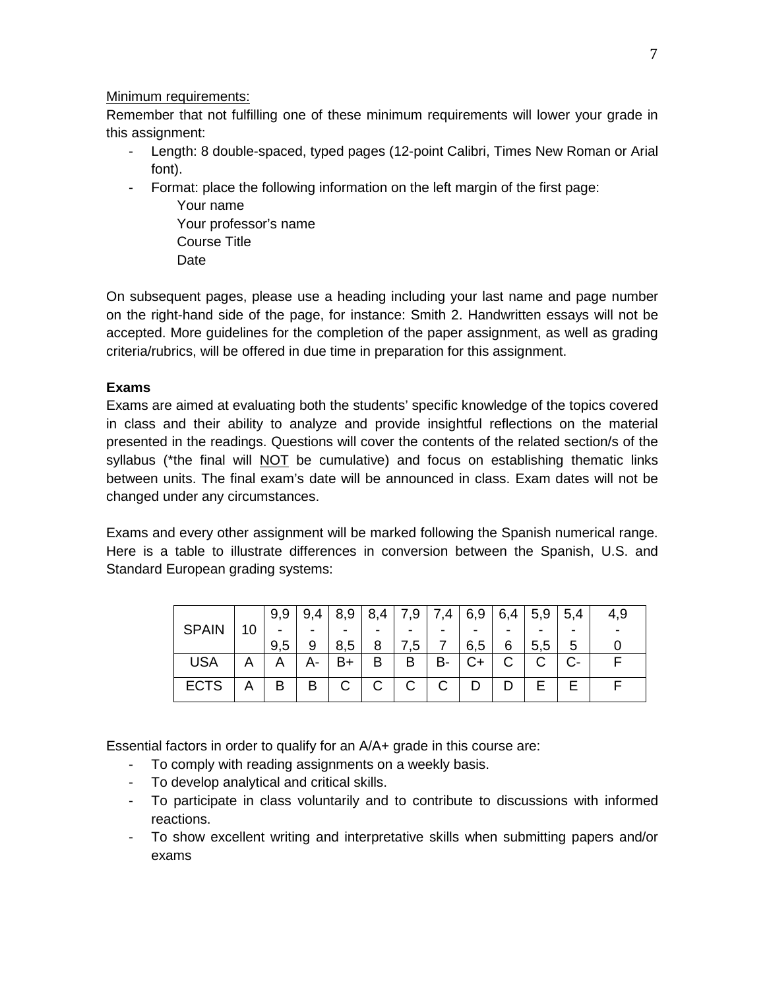## Minimum requirements:

Remember that not fulfilling one of these minimum requirements will lower your grade in this assignment:

- Length: 8 double-spaced, typed pages (12-point Calibri, Times New Roman or Arial font).
- Format: place the following information on the left margin of the first page:

Your name Your professor's name Course Title **Date** 

On subsequent pages, please use a heading including your last name and page number on the right-hand side of the page, for instance: Smith 2. Handwritten essays will not be accepted. More guidelines for the completion of the paper assignment, as well as grading criteria/rubrics, will be offered in due time in preparation for this assignment.

## **Exams**

Exams are aimed at evaluating both the students' specific knowledge of the topics covered in class and their ability to analyze and provide insightful reflections on the material presented in the readings. Questions will cover the contents of the related section/s of the syllabus (\*the final will NOT be cumulative) and focus on establishing thematic links between units. The final exam's date will be announced in class. Exam dates will not be changed under any circumstances.

Exams and every other assignment will be marked following the Spanish numerical range. Here is a table to illustrate differences in conversion between the Spanish, U.S. and Standard European grading systems:

|              |    | 9,9 | 9,<br>.4 | 8,9 | 8<br>4, | 7,9 | 7,4 | 6,9 | 6,4 | 5,9 | 5,4 | 4,9 |
|--------------|----|-----|----------|-----|---------|-----|-----|-----|-----|-----|-----|-----|
| <b>SPAIN</b> | 10 |     |          |     |         | -   |     |     |     |     |     |     |
|              |    | 9,5 | 9        | 8,5 |         | , 5 |     | 6.5 | 6   | 5,5 | 5   |     |
| <b>USA</b>   | Α  |     |          | B+  | в       | Β   | в-  | C+  | С   |     |     |     |
| <b>ECTS</b>  | Α  | B   | Β        | С   | С       | С   |     |     |     |     |     |     |

Essential factors in order to qualify for an A/A+ grade in this course are:

- To comply with reading assignments on a weekly basis.
- To develop analytical and critical skills.
- To participate in class voluntarily and to contribute to discussions with informed reactions.
- To show excellent writing and interpretative skills when submitting papers and/or exams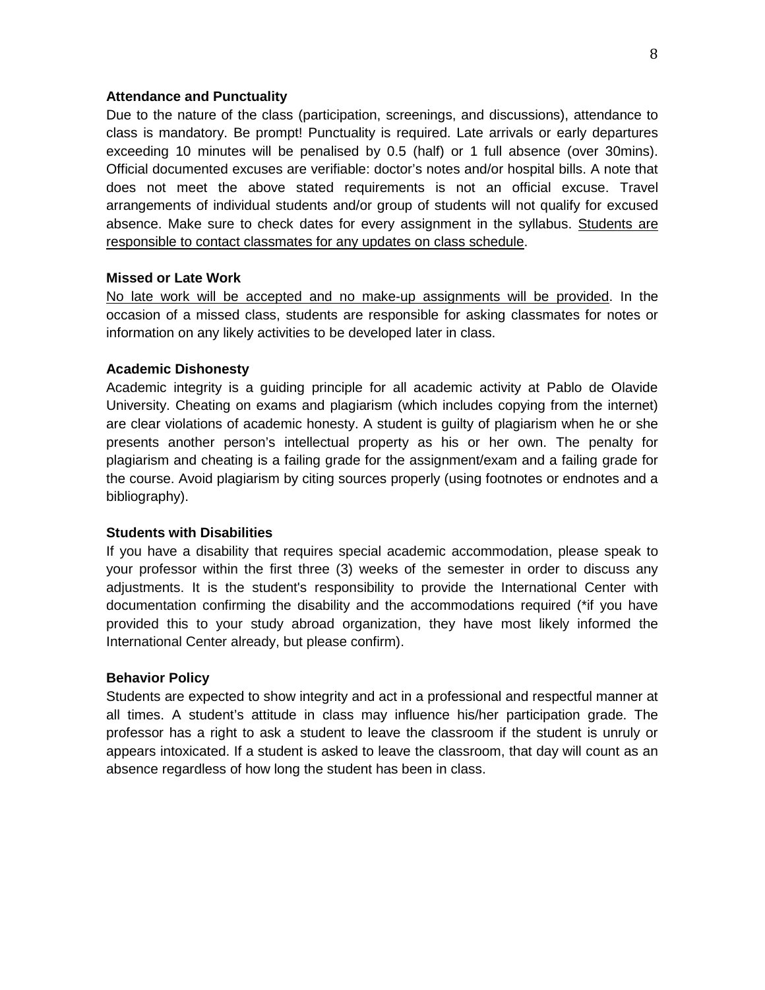#### **Attendance and Punctuality**

Due to the nature of the class (participation, screenings, and discussions), attendance to class is mandatory. Be prompt! Punctuality is required. Late arrivals or early departures exceeding 10 minutes will be penalised by 0.5 (half) or 1 full absence (over 30mins). Official documented excuses are verifiable: doctor's notes and/or hospital bills. A note that does not meet the above stated requirements is not an official excuse. Travel arrangements of individual students and/or group of students will not qualify for excused absence. Make sure to check dates for every assignment in the syllabus. Students are responsible to contact classmates for any updates on class schedule.

### **Missed or Late Work**

No late work will be accepted and no make-up assignments will be provided. In the occasion of a missed class, students are responsible for asking classmates for notes or information on any likely activities to be developed later in class.

#### **Academic Dishonesty**

Academic integrity is a guiding principle for all academic activity at Pablo de Olavide University. Cheating on exams and plagiarism (which includes copying from the internet) are clear violations of academic honesty. A student is guilty of plagiarism when he or she presents another person's intellectual property as his or her own. The penalty for plagiarism and cheating is a failing grade for the assignment/exam and a failing grade for the course. Avoid plagiarism by citing sources properly (using footnotes or endnotes and a bibliography).

#### **Students with Disabilities**

If you have a disability that requires special academic accommodation, please speak to your professor within the first three (3) weeks of the semester in order to discuss any adjustments. It is the student's responsibility to provide the International Center with documentation confirming the disability and the accommodations required (\*if you have provided this to your study abroad organization, they have most likely informed the International Center already, but please confirm).

#### **Behavior Policy**

Students are expected to show integrity and act in a professional and respectful manner at all times. A student's attitude in class may influence his/her participation grade. The professor has a right to ask a student to leave the classroom if the student is unruly or appears intoxicated. If a student is asked to leave the classroom, that day will count as an absence regardless of how long the student has been in class.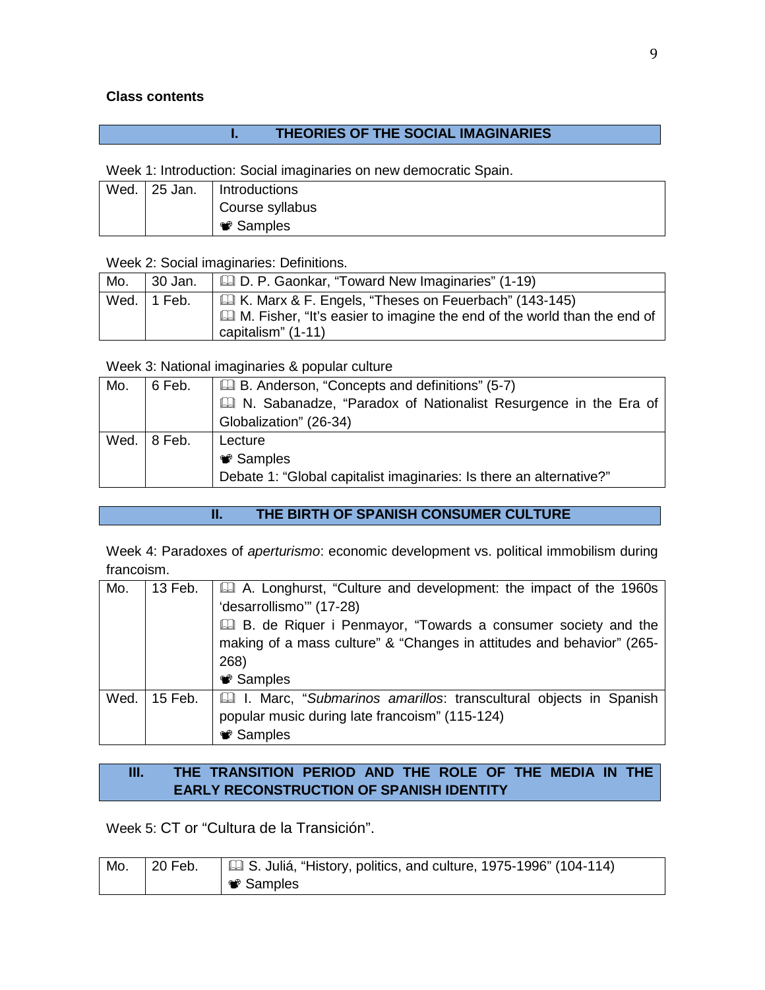## **Class contents**

# **I. THEORIES OF THE SOCIAL IMAGINARIES**

Week 1: Introduction: Social imaginaries on new democratic Spain.

| Wed. | l 25 Jan. | Introductions    |
|------|-----------|------------------|
|      |           | Course syllabus  |
|      |           | <b>❤</b> Samples |

Week 2: Social imaginaries: Definitions.

| Mo. | 30 Jan.     | <b>Let</b> D. P. Gaonkar, "Toward New Imaginaries" (1-19)                                                                                                       |
|-----|-------------|-----------------------------------------------------------------------------------------------------------------------------------------------------------------|
|     | Wed. 1 Feb. | <b>E.</b> K. Marx & F. Engels, "Theses on Feuerbach" (143-145)<br>M. Fisher, "It's easier to imagine the end of the world than the end of<br>capitalism" (1-11) |

Week 3: National imaginaries & popular culture

| Mo. | 6 Feb.              | <b>E.</b> B. Anderson, "Concepts and definitions" (5-7)             |
|-----|---------------------|---------------------------------------------------------------------|
|     |                     | N. Sabanadze, "Paradox of Nationalist Resurgence in the Era of      |
|     |                     | Globalization" (26-34)                                              |
|     | Wed. $\vert$ 8 Feb. | Lecture                                                             |
|     |                     | <b>●</b> Samples                                                    |
|     |                     | Debate 1: "Global capitalist imaginaries: Is there an alternative?" |

## **II. THE BIRTH OF SPANISH CONSUMER CULTURE**

Week 4: Paradoxes of *aperturismo*: economic development vs. political immobilism during francoism.

| Mo.  | 13 Feb. | A. Longhurst, "Culture and development: the impact of the 1960s<br>'desarrollismo"" (17-28)<br><b>E. de Riquer i Penmayor, "Towards a consumer society and the</b><br>making of a mass culture" & "Changes in attitudes and behavior" (265-<br>268) |
|------|---------|-----------------------------------------------------------------------------------------------------------------------------------------------------------------------------------------------------------------------------------------------------|
|      |         | <b><sup>●</sup></b> Samples                                                                                                                                                                                                                         |
| Wed. | 15 Feb. | I. Marc, "Submarinos amarillos: transcultural objects in Spanish<br>popular music during late francoism" (115-124)<br><b>●</b> Samples                                                                                                              |

# **III. THE TRANSITION PERIOD AND THE ROLE OF THE MEDIA IN THE EARLY RECONSTRUCTION OF SPANISH IDENTITY**

Week 5: CT or "Cultura de la Transición".

| Mo. | $\vert$ 20 Feb. | $\parallel$ $\Box$ S. Juliá, "History, politics, and culture, 1975-1996" (104-114) |
|-----|-----------------|------------------------------------------------------------------------------------|
|     |                 | <b>*</b> Samples                                                                   |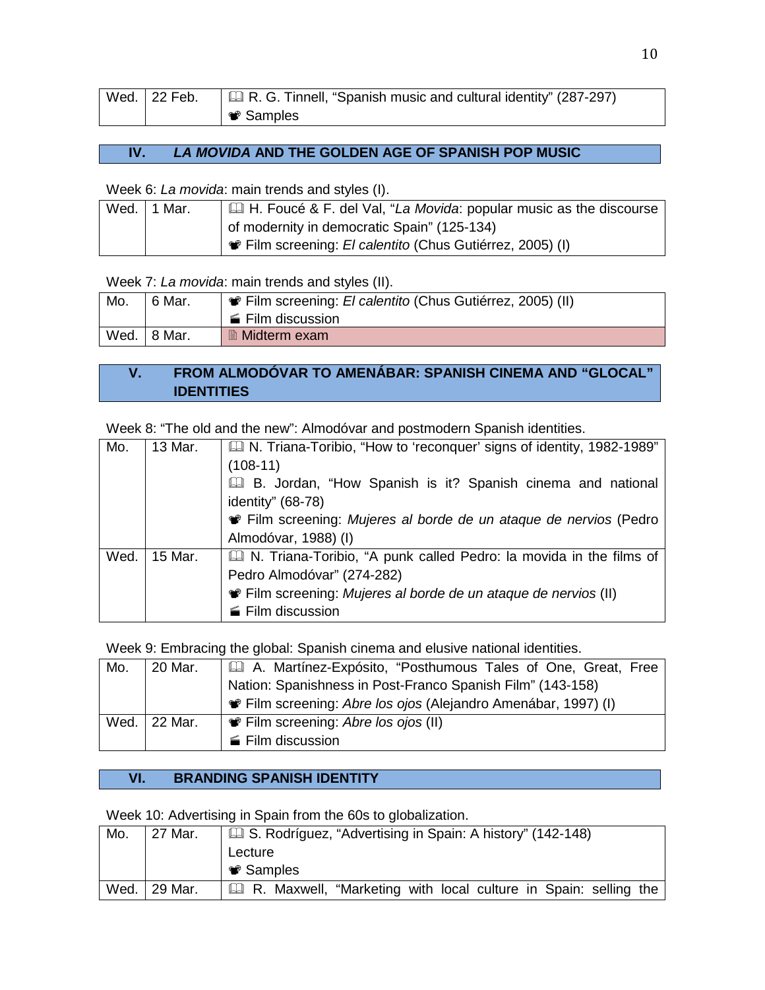| Wed. 22 Feb. | $\Box$ R. G. Tinnell, "Spanish music and cultural identity" (287-297) |
|--------------|-----------------------------------------------------------------------|
|              | Samples <sup>■</sup>                                                  |

## **IV.** *LA MOVIDA* **AND THE GOLDEN AGE OF SPANISH POP MUSIC**

Week 6: *La movida*: main trends and styles (I).

| Wed. | 1 Mar. | H. Foucé & F. del Val, "La Movida: popular music as the discourse |
|------|--------|-------------------------------------------------------------------|
|      |        | of modernity in democratic Spain" (125-134)                       |
|      |        |                                                                   |

Week 7: *La movida*: main trends and styles (II).

| Mo.  | 6 Mar. | <b>W</b> Film screening: El calentito (Chus Gutiérrez, 2005) (II) |
|------|--------|-------------------------------------------------------------------|
|      |        | ■ Film discussion                                                 |
| Wed. | 8 Mar. | ■ Midterm exam                                                    |

# **V. FROM ALMODÓVAR TO AMENÁBAR: SPANISH CINEMA AND "GLOCAL" IDENTITIES**

Week 8: "The old and the new": Almodóvar and postmodern Spanish identities.

| Mo.  | 13 Mar. | In N. Triana-Toribio, "How to 'reconquer' signs of identity, 1982-1989" |
|------|---------|-------------------------------------------------------------------------|
|      |         | $(108-11)$                                                              |
|      |         | Ell B. Jordan, "How Spanish is it? Spanish cinema and national          |
|      |         | identity" $(68-78)$                                                     |
|      |         | • Film screening: Mujeres al borde de un ataque de nervios (Pedro       |
|      |         | Almodóvar, 1988) (I)                                                    |
| Wed. | 15 Mar. | N. Triana-Toribio, "A punk called Pedro: la movida in the films of      |
|      |         | Pedro Almodóvar" (274-282)                                              |
|      |         | • Film screening: Mujeres al borde de un ataque de nervios (II)         |
|      |         | Film discussion                                                         |

Week 9: Embracing the global: Spanish cinema and elusive national identities.

| Mo.  | 20 Mar. | A. Martínez-Expósito, "Posthumous Tales of One, Great, Free         |
|------|---------|---------------------------------------------------------------------|
|      |         | Nation: Spanishness in Post-Franco Spanish Film" (143-158)          |
|      |         | <b>Film screening: Abre los ojos (Alejandro Amenábar, 1997) (I)</b> |
| Wed. | 22 Mar. | • Film screening: Abre los ojos (II)                                |
|      |         | ■ Film discussion                                                   |

# **VI. BRANDING SPANISH IDENTITY**

Week 10: Advertising in Spain from the 60s to globalization.

| Mo.  | 27 Mar.   | S. Rodríguez, "Advertising in Spain: A history" (142-148)                 |
|------|-----------|---------------------------------------------------------------------------|
|      |           | Lecture                                                                   |
|      |           | <b><sup>●</sup></b> Samples                                               |
| Wed. | ∣ 29 Mar. | <b>E. R. Maxwell, "Marketing with local culture in Spain: selling the</b> |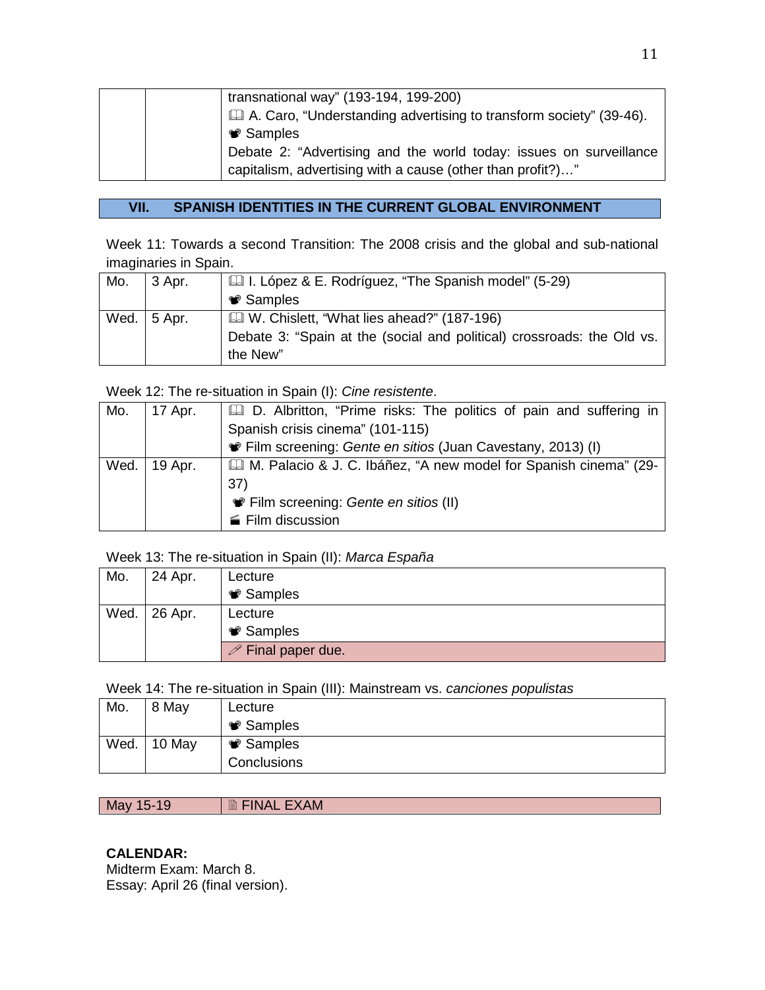|  | transnational way" (193-194, 199-200)                              |
|--|--------------------------------------------------------------------|
|  | A. Caro, "Understanding advertising to transform society" (39-46). |
|  | <b>❤</b> Samples                                                   |
|  | Debate 2: "Advertising and the world today: issues on surveillance |
|  | capitalism, advertising with a cause (other than profit?)"         |

# **VII. SPANISH IDENTITIES IN THE CURRENT GLOBAL ENVIRONMENT**

Week 11: Towards a second Transition: The 2008 crisis and the global and sub-national imaginaries in Spain.

| Mo. | 3 Apr.              | Let I. López & E. Rodríguez, "The Spanish model" (5-29)                |
|-----|---------------------|------------------------------------------------------------------------|
|     |                     | <b>♥ Samples</b>                                                       |
|     | Wed. $\vert$ 5 Apr. | U. Chislett, "What lies ahead?" (187-196)                              |
|     |                     | Debate 3: "Spain at the (social and political) crossroads: the Old vs. |
|     |                     | the New"                                                               |

Week 12: The re-situation in Spain (I): *Cine resistente*.

| Mo.  | 17 Apr. | <b>Q.</b> D. Albritton, "Prime risks: The politics of pain and suffering in |
|------|---------|-----------------------------------------------------------------------------|
|      |         | Spanish crisis cinema" (101-115)                                            |
|      |         | • Film screening: Gente en sitios (Juan Cavestany, 2013) (I)                |
| Wed. | 19 Apr. | Il M. Palacio & J. C. Ibáñez, "A new model for Spanish cinema" (29-         |
|      |         | 37)                                                                         |
|      |         | • Film screening: Gente en sitios (II)                                      |
|      |         | Film discussion                                                             |

Week 13: The re-situation in Spain (II): *Marca España*

| Mo.  | 24 Apr.         | Lecture                        |
|------|-----------------|--------------------------------|
|      |                 | <b><sup>●</sup></b> Samples    |
| Wed. | $\vert$ 26 Apr. | Lecture                        |
|      |                 | <b><sup>●</sup></b> Samples    |
|      |                 | $\mathscr{P}$ Final paper due. |

Week 14: The re-situation in Spain (III): Mainstream vs. *canciones populistas*

| Mo.  | 8 May  | Lecture          |
|------|--------|------------------|
|      |        | <b>❤</b> Samples |
| Wed. | 10 May | <b>❤</b> Samples |
|      |        | Conclusions      |

May 15-19 **EXAM** 

## **CALENDAR:**

Midterm Exam: March 8. Essay: April 26 (final version).